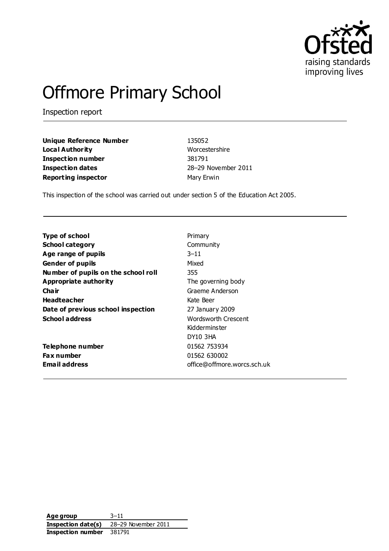

# Offmore Primary School

Inspection report

**Unique Reference Number** 135052 **Local Authority** Worcestershire **Inspection number** 381791 **Inspection dates** 28–29 November 2011 **Reporting inspector** Mary Erwin

This inspection of the school was carried out under section 5 of the Education Act 2005.

| <b>Type of school</b>               | Primary                     |
|-------------------------------------|-----------------------------|
| <b>School category</b>              | Community                   |
| Age range of pupils                 | $3 - 11$                    |
| <b>Gender of pupils</b>             | Mixed                       |
| Number of pupils on the school roll | 355                         |
| <b>Appropriate authority</b>        | The governing body          |
| Cha ir                              | Graeme Anderson             |
| <b>Headteacher</b>                  | Kate Beer                   |
| Date of previous school inspection  | 27 January 2009             |
| <b>School address</b>               | Wordsworth Crescent         |
|                                     | Kidderminster               |
|                                     | <b>DY10 3HA</b>             |
| Telephone number                    | 01562 753934                |
| Fax number                          | 01562 630002                |
| <b>Email address</b>                | office@offmore.worcs.sch.uk |

**Age group** 3–11 **Inspection date(s)** 28–29 November 2011 **Inspection number** 381791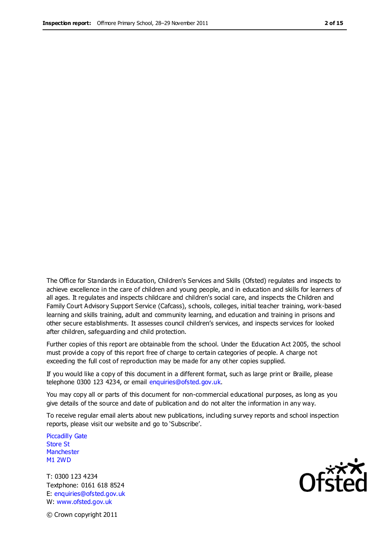The Office for Standards in Education, Children's Services and Skills (Ofsted) regulates and inspects to achieve excellence in the care of children and young people, and in education and skills for learners of all ages. It regulates and inspects childcare and children's social care, and inspects the Children and Family Court Advisory Support Service (Cafcass), schools, colleges, initial teacher training, work-based learning and skills training, adult and community learning, and education and training in prisons and other secure establishments. It assesses council children's services, and inspects services for looked after children, safeguarding and child protection.

Further copies of this report are obtainable from the school. Under the Education Act 2005, the school must provide a copy of this report free of charge to certain categories of people. A charge not exceeding the full cost of reproduction may be made for any other copies supplied.

If you would like a copy of this document in a different format, such as large print or Braille, please telephone 0300 123 4234, or email enquiries@ofsted.gov.uk.

You may copy all or parts of this document for non-commercial educational purposes, as long as you give details of the source and date of publication and do not alter the information in any way.

To receive regular email alerts about new publications, including survey reports and school inspection reports, please visit our website and go to 'Subscribe'.

Piccadilly Gate Store St **Manchester** M1 2WD

T: 0300 123 4234 Textphone: 0161 618 8524 E: enquiries@ofsted.gov.uk W: www.ofsted.gov.uk

**Ofsted** 

© Crown copyright 2011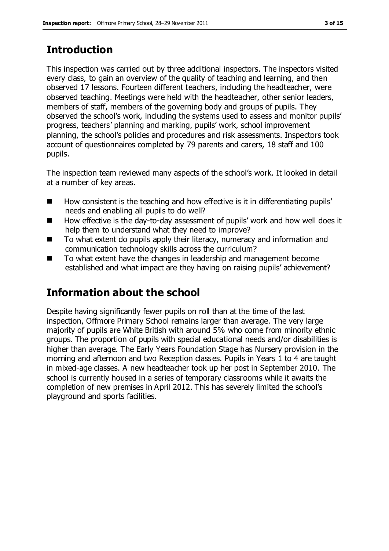# **Introduction**

This inspection was carried out by three additional inspectors. The inspectors visited every class, to gain an overview of the quality of teaching and learning, and then observed 17 lessons. Fourteen different teachers, including the headteacher, were observed teaching. Meetings were held with the headteacher, other senior leaders, members of staff, members of the governing body and groups of pupils. They observed the school's work, including the systems used to assess and monitor pupils' progress, teachers' planning and marking, pupils' work, school improvement planning, the school's policies and procedures and risk assessments. Inspectors took account of questionnaires completed by 79 parents and carers, 18 staff and 100 pupils.

The inspection team reviewed many aspects of the school's work. It looked in detail at a number of key areas.

- $\blacksquare$  How consistent is the teaching and how effective is it in differentiating pupils' needs and enabling all pupils to do well?
- How effective is the day-to-day assessment of pupils' work and how well does it help them to understand what they need to improve?
- To what extent do pupils apply their literacy, numeracy and information and communication technology skills across the curriculum?
- To what extent have the changes in leadership and management become established and what impact are they having on raising pupils' achievement?

# **Information about the school**

Despite having significantly fewer pupils on roll than at the time of the last inspection, Offmore Primary School remains larger than average. The very large majority of pupils are White British with around 5% who come from minority ethnic groups. The proportion of pupils with special educational needs and/or disabilities is higher than average. The Early Years Foundation Stage has Nursery provision in the morning and afternoon and two Reception classes. Pupils in Years 1 to 4 are taught in mixed-age classes. A new headteacher took up her post in September 2010. The school is currently housed in a series of temporary classrooms while it awaits the completion of new premises in April 2012. This has severely limited the school's playground and sports facilities.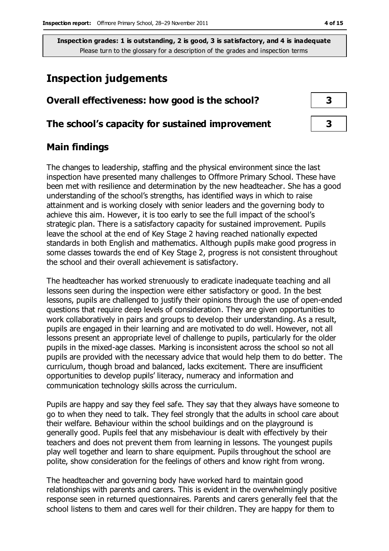# **Inspection judgements**

# **Overall effectiveness: how good is the school? 3**

#### **The school's capacity for sustained improvement 3**

## **Main findings**

The changes to leadership, staffing and the physical environment since the last inspection have presented many challenges to Offmore Primary School. These have been met with resilience and determination by the new headteacher. She has a good understanding of the school's strengths, has identified ways in which to raise attainment and is working closely with senior leaders and the governing body to achieve this aim. However, it is too early to see the full impact of the school's strategic plan. There is a satisfactory capacity for sustained improvement. Pupils leave the school at the end of Key Stage 2 having reached nationally expected standards in both English and mathematics. Although pupils make good progress in some classes towards the end of Key Stage 2, progress is not consistent throughout the school and their overall achievement is satisfactory.

The headteacher has worked strenuously to eradicate inadequate teaching and all lessons seen during the inspection were either satisfactory or good. In the best lessons, pupils are challenged to justify their opinions through the use of open-ended questions that require deep levels of consideration. They are given opportunities to work collaboratively in pairs and groups to develop their understanding. As a result, pupils are engaged in their learning and are motivated to do well. However, not all lessons present an appropriate level of challenge to pupils, particularly for the older pupils in the mixed-age classes. Marking is inconsistent across the school so not all pupils are provided with the necessary advice that would help them to do better. The curriculum, though broad and balanced, lacks excitement. There are insufficient opportunities to develop pupils' literacy, numeracy and information and communication technology skills across the curriculum.

Pupils are happy and say they feel safe. They say that they always have someone to go to when they need to talk. They feel strongly that the adults in school care about their welfare. Behaviour within the school buildings and on the playground is generally good. Pupils feel that any misbehaviour is dealt with effectively by their teachers and does not prevent them from learning in lessons. The youngest pupils play well together and learn to share equipment. Pupils throughout the school are polite, show consideration for the feelings of others and know right from wrong.

The headteacher and governing body have worked hard to maintain good relationships with parents and carers. This is evident in the overwhelmingly positive response seen in returned questionnaires. Parents and carers generally feel that the school listens to them and cares well for their children. They are happy for them to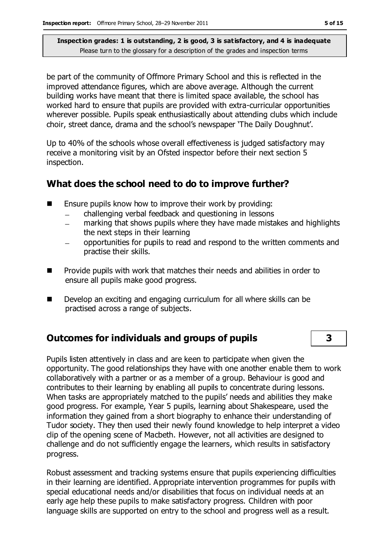be part of the community of Offmore Primary School and this is reflected in the improved attendance figures, which are above average. Although the current building works have meant that there is limited space available, the school has worked hard to ensure that pupils are provided with extra-curricular opportunities wherever possible. Pupils speak enthusiastically about attending clubs which include choir, street dance, drama and the school's newspaper 'The Daily Doughnut'.

Up to 40% of the schools whose overall effectiveness is judged satisfactory may receive a monitoring visit by an Ofsted inspector before their next section 5 inspection.

# **What does the school need to do to improve further?**

- Ensure pupils know how to improve their work by providing:
	- challenging verbal feedback and questioning in lessons
	- marking that shows pupils where they have made mistakes and highlights the next steps in their learning
	- opportunities for pupils to read and respond to the written comments and practise their skills.
- **Provide pupils with work that matches their needs and abilities in order to** ensure all pupils make good progress.
- Develop an exciting and engaging curriculum for all where skills can be practised across a range of subjects.

# **Outcomes for individuals and groups of pupils 3**

Pupils listen attentively in class and are keen to participate when given the opportunity. The good relationships they have with one another enable them to work collaboratively with a partner or as a member of a group. Behaviour is good and contributes to their learning by enabling all pupils to concentrate during lessons. When tasks are appropriately matched to the pupils' needs and abilities they make good progress. For example, Year 5 pupils, learning about Shakespeare, used the information they gained from a short biography to enhance their understanding of Tudor society. They then used their newly found knowledge to help interpret a video clip of the opening scene of Macbeth. However, not all activities are designed to challenge and do not sufficiently engage the learners, which results in satisfactory progress.

Robust assessment and tracking systems ensure that pupils experiencing difficulties in their learning are identified. Appropriate intervention programmes for pupils with special educational needs and/or disabilities that focus on individual needs at an early age help these pupils to make satisfactory progress. Children with poor language skills are supported on entry to the school and progress well as a result.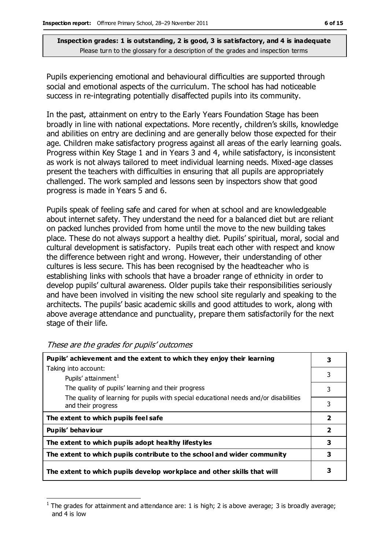Pupils experiencing emotional and behavioural difficulties are supported through social and emotional aspects of the curriculum. The school has had noticeable success in re-integrating potentially disaffected pupils into its community.

In the past, attainment on entry to the Early Years Foundation Stage has been broadly in line with national expectations. More recently, children's skills, knowledge and abilities on entry are declining and are generally below those expected for their age. Children make satisfactory progress against all areas of the early learning goals. Progress within Key Stage 1 and in Years 3 and 4, while satisfactory, is inconsistent as work is not always tailored to meet individual learning needs. Mixed-age classes present the teachers with difficulties in ensuring that all pupils are appropriately challenged. The work sampled and lessons seen by inspectors show that good progress is made in Years 5 and 6.

Pupils speak of feeling safe and cared for when at school and are knowledgeable about internet safety. They understand the need for a balanced diet but are reliant on packed lunches provided from home until the move to the new building takes place. These do not always support a healthy diet. Pupils' spiritual, moral, social and cultural development is satisfactory. Pupils treat each other with respect and know the difference between right and wrong. However, their understanding of other cultures is less secure. This has been recognised by the headteacher who is establishing links with schools that have a broader range of ethnicity in order to develop pupils' cultural awareness. Older pupils take their responsibilities seriously and have been involved in visiting the new school site regularly and speaking to the architects. The pupils' basic academic skills and good attitudes to work, along with above average attendance and punctuality, prepare them satisfactorily for the next stage of their life.

| Pupils' achievement and the extent to which they enjoy their learning                                       |                |
|-------------------------------------------------------------------------------------------------------------|----------------|
| Taking into account:                                                                                        |                |
| Pupils' attainment <sup>1</sup>                                                                             | 3              |
| The quality of pupils' learning and their progress                                                          | 3              |
| The quality of learning for pupils with special educational needs and/or disabilities<br>and their progress | 3              |
| The extent to which pupils feel safe                                                                        | $\overline{2}$ |
| Pupils' behaviour                                                                                           | 2              |
| The extent to which pupils adopt healthy lifestyles                                                         | 3              |
| The extent to which pupils contribute to the school and wider community                                     | 3              |
| The extent to which pupils develop workplace and other skills that will                                     | з              |

These are the grades for pupils' outcomes

 $\overline{a}$ 

<sup>1</sup> The grades for attainment and attendance are: 1 is high; 2 is above average; 3 is broadly average; and 4 is low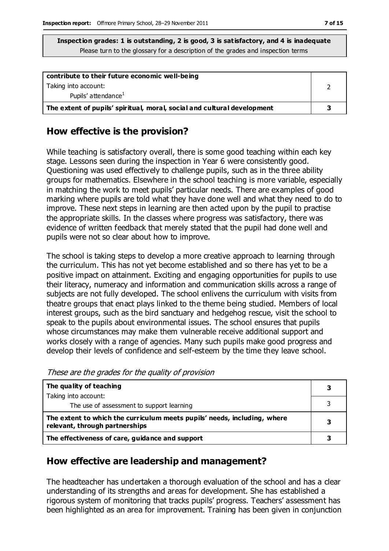| contribute to their future economic well-being                          |  |
|-------------------------------------------------------------------------|--|
| Taking into account:                                                    |  |
| Pupils' attendance <sup>1</sup>                                         |  |
| The extent of pupils' spiritual, moral, social and cultural development |  |

### **How effective is the provision?**

While teaching is satisfactory overall, there is some good teaching within each key stage. Lessons seen during the inspection in Year 6 were consistently good. Questioning was used effectively to challenge pupils, such as in the three ability groups for mathematics. Elsewhere in the school teaching is more variable, especially in matching the work to meet pupils' particular needs. There are examples of good marking where pupils are told what they have done well and what they need to do to improve. These next steps in learning are then acted upon by the pupil to practise the appropriate skills. In the classes where progress was satisfactory, there was evidence of written feedback that merely stated that the pupil had done well and pupils were not so clear about how to improve.

The school is taking steps to develop a more creative approach to learning through the curriculum. This has not yet become established and so there has yet to be a positive impact on attainment. Exciting and engaging opportunities for pupils to use their literacy, numeracy and information and communication skills across a range of subjects are not fully developed. The school enlivens the curriculum with visits from theatre groups that enact plays linked to the theme being studied. Members of local interest groups, such as the bird sanctuary and hedgehog rescue, visit the school to speak to the pupils about environmental issues. The school ensures that pupils whose circumstances may make them vulnerable receive additional support and works closely with a range of agencies. Many such pupils make good progress and develop their levels of confidence and self-esteem by the time they leave school.

These are the grades for the quality of provision

| The quality of teaching                                                                                    | 3 |
|------------------------------------------------------------------------------------------------------------|---|
| Taking into account:                                                                                       |   |
| The use of assessment to support learning                                                                  |   |
| The extent to which the curriculum meets pupils' needs, including, where<br>relevant, through partnerships |   |
| The effectiveness of care, guidance and support                                                            |   |

### **How effective are leadership and management?**

The headteacher has undertaken a thorough evaluation of the school and has a clear understanding of its strengths and areas for development. She has established a rigorous system of monitoring that tracks pupils' progress. Teachers' assessment has been highlighted as an area for improvement. Training has been given in conjunction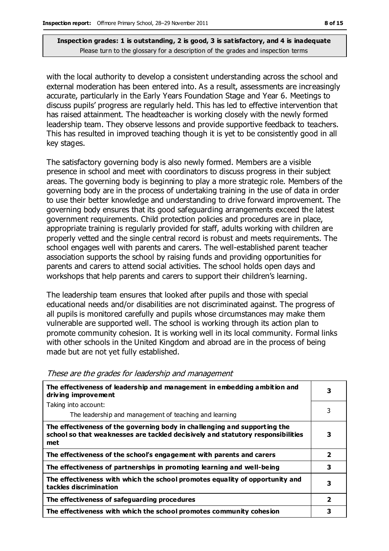with the local authority to develop a consistent understanding across the school and external moderation has been entered into. As a result, assessments are increasingly accurate, particularly in the Early Years Foundation Stage and Year 6. Meetings to discuss pupils' progress are regularly held. This has led to effective intervention that has raised attainment. The headteacher is working closely with the newly formed leadership team. They observe lessons and provide supportive feedback to teachers. This has resulted in improved teaching though it is yet to be consistently good in all key stages.

The satisfactory governing body is also newly formed. Members are a visible presence in school and meet with coordinators to discuss progress in their subject areas. The governing body is beginning to play a more strategic role. Members of the governing body are in the process of undertaking training in the use of data in order to use their better knowledge and understanding to drive forward improvement. The governing body ensures that its good safeguarding arrangements exceed the latest government requirements. Child protection policies and procedures are in place, appropriate training is regularly provided for staff, adults working with children are properly vetted and the single central record is robust and meets requirements. The school engages well with parents and carers. The well-established parent teacher association supports the school by raising funds and providing opportunities for parents and carers to attend social activities. The school holds open days and workshops that help parents and carers to support their children's learning.

The leadership team ensures that looked after pupils and those with special educational needs and/or disabilities are not discriminated against. The progress of all pupils is monitored carefully and pupils whose circumstances may make them vulnerable are supported well. The school is working through its action plan to promote community cohesion. It is working well in its local community. Formal links with other schools in the United Kingdom and abroad are in the process of being made but are not yet fully established.

| The effectiveness of leadership and management in embedding ambition and<br>driving improvement                                                                     |                         |
|---------------------------------------------------------------------------------------------------------------------------------------------------------------------|-------------------------|
| Taking into account:                                                                                                                                                | 3                       |
| The leadership and management of teaching and learning                                                                                                              |                         |
| The effectiveness of the governing body in challenging and supporting the<br>school so that weaknesses are tackled decisively and statutory responsibilities<br>met | 3                       |
| The effectiveness of the school's engagement with parents and carers                                                                                                | $\mathbf{2}$            |
| The effectiveness of partnerships in promoting learning and well-being                                                                                              | 3                       |
| The effectiveness with which the school promotes equality of opportunity and<br>tackles discrimination                                                              | 3                       |
| The effectiveness of safeguarding procedures                                                                                                                        | $\overline{\mathbf{2}}$ |
| The effectiveness with which the school promotes community cohesion                                                                                                 | 3                       |

#### These are the grades for leadership and management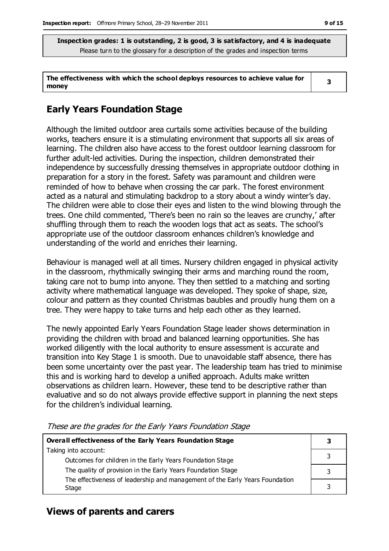**The effectiveness with which the school deploys resources to achieve value for money 3**

# **Early Years Foundation Stage**

Although the limited outdoor area curtails some activities because of the building works, teachers ensure it is a stimulating environment that supports all six areas of learning. The children also have access to the forest outdoor learning classroom for further adult-led activities. During the inspection, children demonstrated their independence by successfully dressing themselves in appropriate outdoor clothing in preparation for a story in the forest. Safety was paramount and children were reminded of how to behave when crossing the car park. The forest environment acted as a natural and stimulating backdrop to a story about a windy winter's day. The children were able to close their eyes and listen to the wind blowing through the trees. One child commented, 'There's been no rain so the leaves are crunchy,' after shuffling through them to reach the wooden logs that act as seats. The school's appropriate use of the outdoor classroom enhances children's knowledge and understanding of the world and enriches their learning.

Behaviour is managed well at all times. Nursery children engaged in physical activity in the classroom, rhythmically swinging their arms and marching round the room, taking care not to bump into anyone. They then settled to a matching and sorting activity where mathematical language was developed. They spoke of shape, size, colour and pattern as they counted Christmas baubles and proudly hung them on a tree. They were happy to take turns and help each other as they learned.

The newly appointed Early Years Foundation Stage leader shows determination in providing the children with broad and balanced learning opportunities. She has worked diligently with the local authority to ensure assessment is accurate and transition into Key Stage 1 is smooth. Due to unavoidable staff absence, there has been some uncertainty over the past year. The leadership team has tried to minimise this and is working hard to develop a unified approach. Adults make written observations as children learn. However, these tend to be descriptive rather than evaluative and so do not always provide effective support in planning the next steps for the children's individual learning.

| Overall effectiveness of the Early Years Foundation Stage                                                                 |  |  |
|---------------------------------------------------------------------------------------------------------------------------|--|--|
| Taking into account:                                                                                                      |  |  |
| Outcomes for children in the Early Years Foundation Stage<br>The quality of provision in the Early Years Foundation Stage |  |  |
| The effectiveness of leadership and management of the Early Years Foundation<br>Stage                                     |  |  |
|                                                                                                                           |  |  |

These are the grades for the Early Years Foundation Stage

### **Views of parents and carers**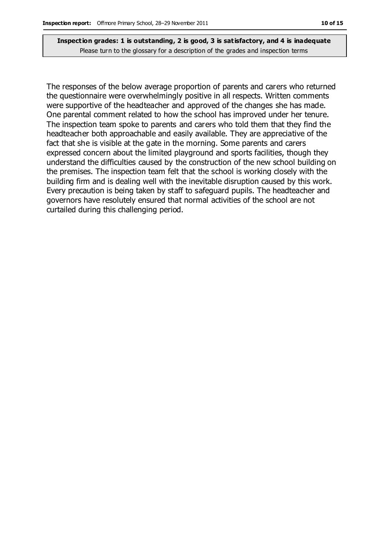The responses of the below average proportion of parents and carers who returned the questionnaire were overwhelmingly positive in all respects. Written comments were supportive of the headteacher and approved of the changes she has made. One parental comment related to how the school has improved under her tenure. The inspection team spoke to parents and carers who told them that they find the headteacher both approachable and easily available. They are appreciative of the fact that she is visible at the gate in the morning. Some parents and carers expressed concern about the limited playground and sports facilities, though they understand the difficulties caused by the construction of the new school building on the premises. The inspection team felt that the school is working closely with the building firm and is dealing well with the inevitable disruption caused by this work. Every precaution is being taken by staff to safeguard pupils. The headteacher and governors have resolutely ensured that normal activities of the school are not curtailed during this challenging period.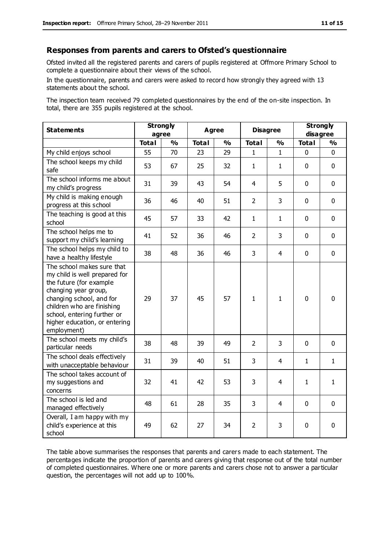#### **Responses from parents and carers to Ofsted's questionnaire**

Ofsted invited all the registered parents and carers of pupils registered at Offmore Primary School to complete a questionnaire about their views of the school.

In the questionnaire, parents and carers were asked to record how strongly they agreed with 13 statements about the school.

The inspection team received 79 completed questionnaires by the end of the on-site inspection. In total, there are 355 pupils registered at the school.

| <b>Statements</b>                                                                                                                                                                                                                                       | <b>Strongly</b><br>agree |               | <b>Agree</b> |               | <b>Disagree</b> |               | <b>Strongly</b><br>disagree |               |
|---------------------------------------------------------------------------------------------------------------------------------------------------------------------------------------------------------------------------------------------------------|--------------------------|---------------|--------------|---------------|-----------------|---------------|-----------------------------|---------------|
|                                                                                                                                                                                                                                                         | <b>Total</b>             | $\frac{0}{0}$ | <b>Total</b> | $\frac{1}{2}$ | <b>Total</b>    | $\frac{0}{0}$ | <b>Total</b>                | $\frac{1}{2}$ |
| My child enjoys school                                                                                                                                                                                                                                  | 55                       | 70            | 23           | 29            | 1               | 1             | 0                           | $\Omega$      |
| The school keeps my child<br>safe                                                                                                                                                                                                                       | 53                       | 67            | 25           | 32            | $\mathbf{1}$    | 1             | $\mathbf{0}$                | $\mathbf 0$   |
| The school informs me about<br>my child's progress                                                                                                                                                                                                      | 31                       | 39            | 43           | 54            | $\overline{4}$  | 5             | $\mathbf 0$                 | $\mathbf 0$   |
| My child is making enough<br>progress at this school                                                                                                                                                                                                    | 36                       | 46            | 40           | 51            | $\overline{2}$  | 3             | $\mathbf 0$                 | $\mathbf 0$   |
| The teaching is good at this<br>school                                                                                                                                                                                                                  | 45                       | 57            | 33           | 42            | $\mathbf{1}$    | 1             | $\mathbf 0$                 | $\mathbf 0$   |
| The school helps me to<br>support my child's learning                                                                                                                                                                                                   | 41                       | 52            | 36           | 46            | $\overline{2}$  | 3             | $\mathbf 0$                 | $\mathbf 0$   |
| The school helps my child to<br>have a healthy lifestyle                                                                                                                                                                                                | 38                       | 48            | 36           | 46            | 3               | 4             | $\mathbf 0$                 | $\mathbf 0$   |
| The school makes sure that<br>my child is well prepared for<br>the future (for example<br>changing year group,<br>changing school, and for<br>children who are finishing<br>school, entering further or<br>higher education, or entering<br>employment) | 29                       | 37            | 45           | 57            | $\mathbf{1}$    | 1             | $\mathbf 0$                 | $\mathbf 0$   |
| The school meets my child's<br>particular needs                                                                                                                                                                                                         | 38                       | 48            | 39           | 49            | $\overline{2}$  | 3             | $\mathbf 0$                 | $\mathbf 0$   |
| The school deals effectively<br>with unacceptable behaviour                                                                                                                                                                                             | 31                       | 39            | 40           | 51            | 3               | 4             | 1                           | 1             |
| The school takes account of<br>my suggestions and<br>concerns                                                                                                                                                                                           | 32                       | 41            | 42           | 53            | 3               | 4             | $\mathbf{1}$                | $\mathbf{1}$  |
| The school is led and<br>managed effectively                                                                                                                                                                                                            | 48                       | 61            | 28           | 35            | 3               | 4             | $\mathbf 0$                 | $\mathbf 0$   |
| Overall, I am happy with my<br>child's experience at this<br>school                                                                                                                                                                                     | 49                       | 62            | 27           | 34            | 2               | 3             | $\mathbf 0$                 | 0             |

The table above summarises the responses that parents and carers made to each statement. The percentages indicate the proportion of parents and carers giving that response out of the total number of completed questionnaires. Where one or more parents and carers chose not to answer a particular question, the percentages will not add up to 100%.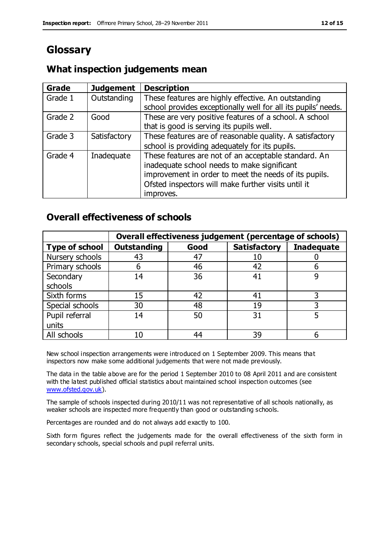# **Glossary**

# **What inspection judgements mean**

| Grade   | <b>Judgement</b> | <b>Description</b>                                            |
|---------|------------------|---------------------------------------------------------------|
| Grade 1 | Outstanding      | These features are highly effective. An outstanding           |
|         |                  | school provides exceptionally well for all its pupils' needs. |
| Grade 2 | Good             | These are very positive features of a school. A school        |
|         |                  | that is good is serving its pupils well.                      |
| Grade 3 | Satisfactory     | These features are of reasonable quality. A satisfactory      |
|         |                  | school is providing adequately for its pupils.                |
| Grade 4 | Inadequate       | These features are not of an acceptable standard. An          |
|         |                  | inadequate school needs to make significant                   |
|         |                  | improvement in order to meet the needs of its pupils.         |
|         |                  | Ofsted inspectors will make further visits until it           |
|         |                  | improves.                                                     |

## **Overall effectiveness of schools**

|                       |                    |      | Overall effectiveness judgement (percentage of schools) |                   |
|-----------------------|--------------------|------|---------------------------------------------------------|-------------------|
| <b>Type of school</b> | <b>Outstanding</b> | Good | <b>Satisfactory</b>                                     | <b>Inadequate</b> |
| Nursery schools       | 43                 | 47   | 10                                                      |                   |
| Primary schools       | 6                  | 46   | 42                                                      |                   |
| Secondary             | 14                 | 36   | 41                                                      |                   |
| schools               |                    |      |                                                         |                   |
| Sixth forms           | 15                 | 42   | 41                                                      | 3                 |
| Special schools       | 30                 | 48   | 19                                                      |                   |
| Pupil referral        | 14                 | 50   | 31                                                      |                   |
| units                 |                    |      |                                                         |                   |
| All schools           | 10                 | 44   | 39                                                      |                   |

New school inspection arrangements were introduced on 1 September 2009. This means that inspectors now make some additional judgements that were not made previously.

The data in the table above are for the period 1 September 2010 to 08 April 2011 and are consistent with the latest published official statistics about maintained school inspection outcomes (see [www.ofsted.gov.uk\)](http://www.ofsted.gov.uk/).

The sample of schools inspected during 2010/11 was not representative of all schools nationally, as weaker schools are inspected more frequently than good or outstanding schools.

Percentages are rounded and do not always add exactly to 100.

Sixth form figures reflect the judgements made for the overall effectiveness of the sixth form in secondary schools, special schools and pupil referral units.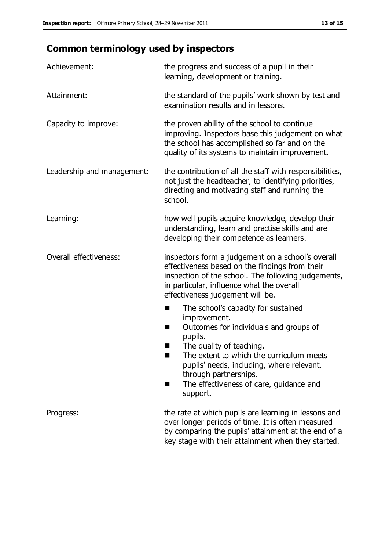# **Common terminology used by inspectors**

| Achievement:                  | the progress and success of a pupil in their<br>learning, development or training.                                                                                                                                                                                                                                           |
|-------------------------------|------------------------------------------------------------------------------------------------------------------------------------------------------------------------------------------------------------------------------------------------------------------------------------------------------------------------------|
| Attainment:                   | the standard of the pupils' work shown by test and<br>examination results and in lessons.                                                                                                                                                                                                                                    |
| Capacity to improve:          | the proven ability of the school to continue<br>improving. Inspectors base this judgement on what<br>the school has accomplished so far and on the<br>quality of its systems to maintain improvement.                                                                                                                        |
| Leadership and management:    | the contribution of all the staff with responsibilities,<br>not just the headteacher, to identifying priorities,<br>directing and motivating staff and running the<br>school.                                                                                                                                                |
| Learning:                     | how well pupils acquire knowledge, develop their<br>understanding, learn and practise skills and are<br>developing their competence as learners.                                                                                                                                                                             |
| <b>Overall effectiveness:</b> | inspectors form a judgement on a school's overall<br>effectiveness based on the findings from their<br>inspection of the school. The following judgements,<br>in particular, influence what the overall<br>effectiveness judgement will be.                                                                                  |
|                               | The school's capacity for sustained<br>×<br>improvement.<br>Outcomes for individuals and groups of<br>п<br>pupils.<br>The quality of teaching.<br>The extent to which the curriculum meets<br>pupils' needs, including, where relevant,<br>through partnerships.<br>The effectiveness of care, guidance and<br>■<br>support. |
| Progress:                     | the rate at which pupils are learning in lessons and<br>over longer periods of time. It is often measured<br>by comparing the pupils' attainment at the end of a<br>key stage with their attainment when they started.                                                                                                       |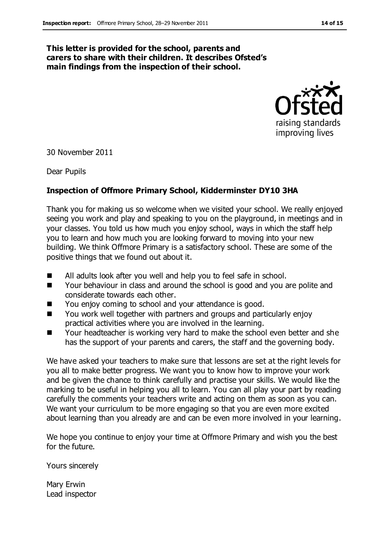#### **This letter is provided for the school, parents and carers to share with their children. It describes Ofsted's main findings from the inspection of their school.**



30 November 2011

Dear Pupils

#### **Inspection of Offmore Primary School, Kidderminster DY10 3HA**

Thank you for making us so welcome when we visited your school. We really enjoyed seeing you work and play and speaking to you on the playground, in meetings and in your classes. You told us how much you enjoy school, ways in which the staff help you to learn and how much you are looking forward to moving into your new building. We think Offmore Primary is a satisfactory school. These are some of the positive things that we found out about it.

- All adults look after you well and help you to feel safe in school.
- Your behaviour in class and around the school is good and you are polite and considerate towards each other.
- You enjoy coming to school and your attendance is good.
- You work well together with partners and groups and particularly enjoy practical activities where you are involved in the learning.
- Your headteacher is working very hard to make the school even better and she has the support of your parents and carers, the staff and the governing body.

We have asked your teachers to make sure that lessons are set at the right levels for you all to make better progress. We want you to know how to improve your work and be given the chance to think carefully and practise your skills. We would like the marking to be useful in helping you all to learn. You can all play your part by reading carefully the comments your teachers write and acting on them as soon as you can. We want your curriculum to be more engaging so that you are even more excited about learning than you already are and can be even more involved in your learning.

We hope you continue to enjoy your time at Offmore Primary and wish you the best for the future.

Yours sincerely

Mary Erwin Lead inspector